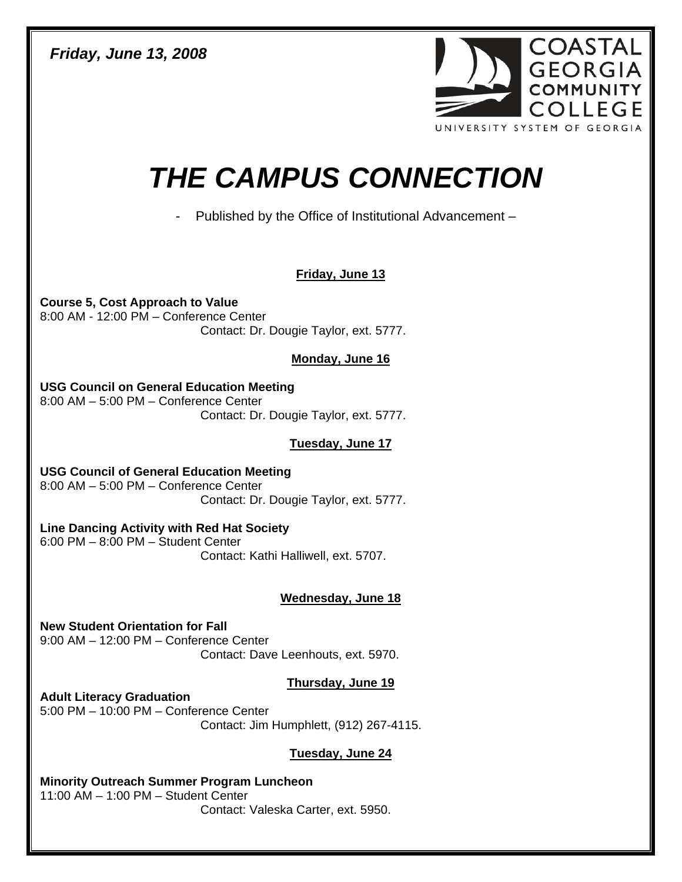*Friday, June 13, 2008* 



# *THE CAMPUS CONNECTION*

- Published by the Office of Institutional Advancement –

## **Friday, June 13**

**Course 5, Cost Approach to Value**  8:00 AM - 12:00 PM – Conference Center Contact: Dr. Dougie Taylor, ext. 5777.

#### **Monday, June 16**

**USG Council on General Education Meeting**  8:00 AM – 5:00 PM – Conference Center Contact: Dr. Dougie Taylor, ext. 5777.

### **Tuesday, June 17**

**USG Council of General Education Meeting**  8:00 AM – 5:00 PM – Conference Center Contact: Dr. Dougie Taylor, ext. 5777.

**Line Dancing Activity with Red Hat Society**  6:00 PM – 8:00 PM – Student Center Contact: Kathi Halliwell, ext. 5707.

### **Wednesday, June 18**

**New Student Orientation for Fall**  9:00 AM – 12:00 PM – Conference Center Contact: Dave Leenhouts, ext. 5970.

### **Thursday, June 19**

**Adult Literacy Graduation**  5:00 PM – 10:00 PM – Conference Center Contact: Jim Humphlett, (912) 267-4115.

### **Tuesday, June 24**

**Minority Outreach Summer Program Luncheon**  11:00 AM – 1:00 PM – Student Center Contact: Valeska Carter, ext. 5950.